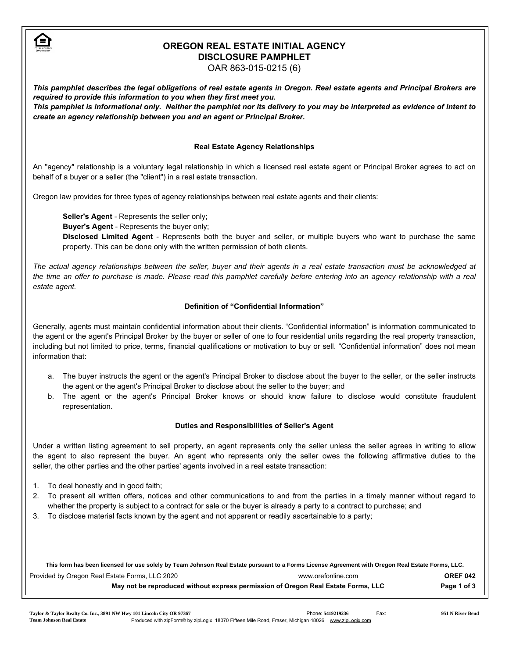

# OREGON REAL ESTATE INITIAL AGENCY DISCLOSURE PAMPHLET

OAR 863-015-0215 (6)

*This pamphlet describes the legal obligations of real estate agents in Oregon. Real estate agents and Principal Brokers are required to provide this information to you when they first meet you. This pamphlet is informational only. Neither the pamphlet nor its delivery to you may be interpreted as evidence of intent to*

## Real Estate Agency Relationships

An "agency" relationship is a voluntary legal relationship in which a licensed real estate agent or Principal Broker agrees to act on behalf of a buyer or a seller (the "client") in a real estate transaction.

Oregon law provides for three types of agency relationships between real estate agents and their clients:

Seller's Agent - Represents the seller only;

*create an agency relationship between you and an agent or Principal Broker.*

Buyer's Agent - Represents the buyer only;

Disclosed Limited Agent - Represents both the buyer and seller, or multiple buyers who want to purchase the same property. This can be done only with the written permission of both clients.

*The actual agency relationships between the seller, buyer and their agents in a real estate transaction must be acknowledged at the time an offer to purchase is made. Please read this pamphlet carefully before entering into an agency relationship with a real estate agent.*

# Definition of "Confidential Information"

Generally, agents must maintain confidential information about their clients. "Confidential information" is information communicated to the agent or the agent's Principal Broker by the buyer or seller of one to four residential units regarding the real property transaction, including but not limited to price, terms, financial qualifications or motivation to buy or sell. "Confidential information" does not mean information that:

- a. The buyer instructs the agent or the agent's Principal Broker to disclose about the buyer to the seller, or the seller instructs the agent or the agent's Principal Broker to disclose about the seller to the buyer; and
- b. The agent or the agent's Principal Broker knows or should know failure to disclose would constitute fraudulent representation.

#### Duties and Responsibilities of Seller's Agent

Under a written listing agreement to sell property, an agent represents only the seller unless the seller agrees in writing to allow the agent to also represent the buyer. An agent who represents only the seller owes the following affirmative duties to the seller, the other parties and the other parties' agents involved in a real estate transaction:

- 1. To deal honestly and in good faith;
- 2. To present all written offers, notices and other communications to and from the parties in a timely manner without regard to whether the property is subject to a contract for sale or the buyer is already a party to a contract to purchase; and
- 3. To disclose material facts known by the agent and not apparent or readily ascertainable to a party;

| This form has been licensed for use solely by Team Johnson Real Estate pursuant to a Forms License Agreement with Oregon Real Estate Forms, LLC. |                    |                 |  |
|--------------------------------------------------------------------------------------------------------------------------------------------------|--------------------|-----------------|--|
| Provided by Oregon Real Estate Forms, LLC 2020                                                                                                   | www.orefonline.com | <b>OREF 042</b> |  |
| May not be reproduced without express permission of Oregon Real Estate Forms, LLC                                                                |                    | Page 1 of 3     |  |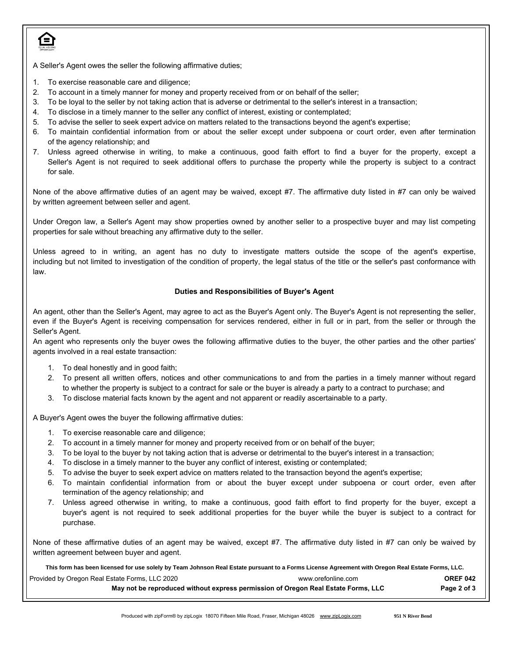

A Seller's Agent owes the seller the following affirmative duties;

- 1. To exercise reasonable care and diligence;
- 2. To account in a timely manner for money and property received from or on behalf of the seller;
- 3. To be loyal to the seller by not taking action that is adverse or detrimental to the seller's interest in a transaction;
- 4. To disclose in a timely manner to the seller any conflict of interest, existing or contemplated;
- 5. To advise the seller to seek expert advice on matters related to the transactions beyond the agent's expertise;
- 6. To maintain confidential information from or about the seller except under subpoena or court order, even after termination of the agency relationship; and
- 7. Unless agreed otherwise in writing, to make a continuous, good faith effort to find a buyer for the property, except a Seller's Agent is not required to seek additional offers to purchase the property while the property is subject to a contract for sale.

None of the above affirmative duties of an agent may be waived, except #7. The affirmative duty listed in #7 can only be waived by written agreement between seller and agent.

Under Oregon law, a Seller's Agent may show properties owned by another seller to a prospective buyer and may list competing properties for sale without breaching any affirmative duty to the seller.

Unless agreed to in writing, an agent has no duty to investigate matters outside the scope of the agent's expertise, including but not limited to investigation of the condition of property, the legal status of the title or the seller's past conformance with law.

#### Duties and Responsibilities of Buyer's Agent

An agent, other than the Seller's Agent, may agree to act as the Buyer's Agent only. The Buyer's Agent is not representing the seller, even if the Buyer's Agent is receiving compensation for services rendered, either in full or in part, from the seller or through the Seller's Agent.

An agent who represents only the buyer owes the following affirmative duties to the buyer, the other parties and the other parties' agents involved in a real estate transaction:

- 1. To deal honestly and in good faith;
- 2. To present all written offers, notices and other communications to and from the parties in a timely manner without regard to whether the property is subject to a contract for sale or the buyer is already a party to a contract to purchase; and
- 3. To disclose material facts known by the agent and not apparent or readily ascertainable to a party.

A Buyer's Agent owes the buyer the following affirmative duties:

- 1. To exercise reasonable care and diligence;
- 2. To account in a timely manner for money and property received from or on behalf of the buyer;
- 3. To be loyal to the buyer by not taking action that is adverse or detrimental to the buyer's interest in a transaction;
- 4. To disclose in a timely manner to the buyer any conflict of interest, existing or contemplated;
- 5. To advise the buyer to seek expert advice on matters related to the transaction beyond the agent's expertise;
- 6. To maintain confidential information from or about the buyer except under subpoena or court order, even after termination of the agency relationship; and
- 7. Unless agreed otherwise in writing, to make a continuous, good faith effort to find property for the buyer, except a buyer's agent is not required to seek additional properties for the buyer while the buyer is subject to a contract for purchase.

None of these affirmative duties of an agent may be waived, except #7. The affirmative duty listed in #7 can only be waived by written agreement between buyer and agent.

Provided by Oregon Real Estate Forms, LLC 2020 **WAREF 042** www.orefonline.com **OREF 042** May not be reproduced without express permission of Oregon Real Estate Forms, LLC Page 2 of 3 **This form has been licensed for use solely by Team Johnson Real Estate pursuant to a Forms License Agreement with Oregon Real Estate Forms, LLC.**